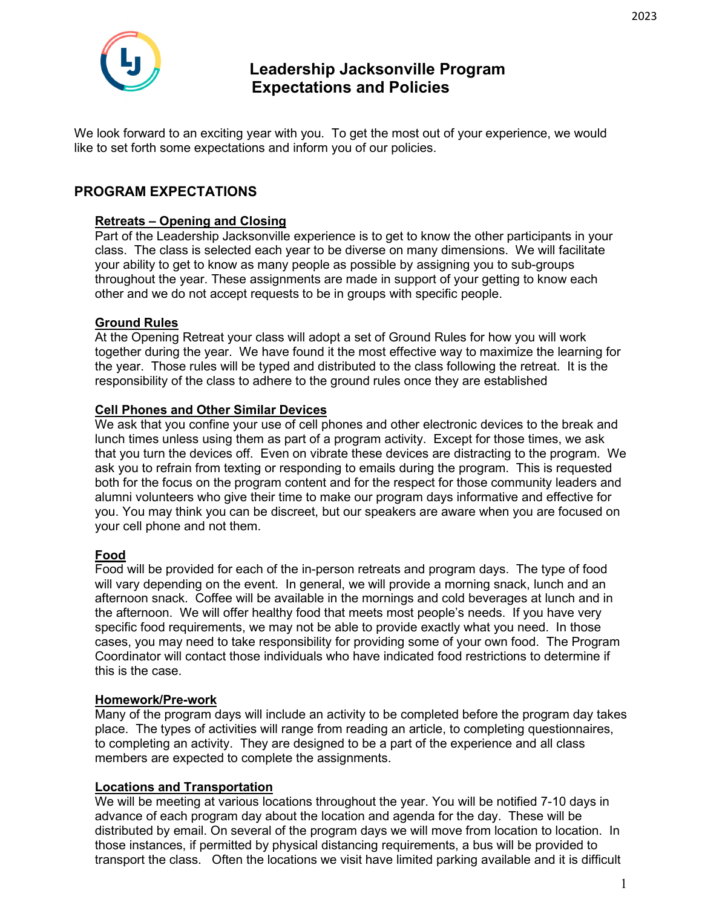

# **Leadership Jacksonville Program Expectations and Policies**

We look forward to an exciting year with you. To get the most out of your experience, we would like to set forth some expectations and inform you of our policies.

## **PROGRAM EXPECTATIONS**

#### **Retreats – Opening and Closing**

Part of the Leadership Jacksonville experience is to get to know the other participants in your class. The class is selected each year to be diverse on many dimensions. We will facilitate your ability to get to know as many people as possible by assigning you to sub-groups throughout the year. These assignments are made in support of your getting to know each other and we do not accept requests to be in groups with specific people.

#### **Ground Rules**

At the Opening Retreat your class will adopt a set of Ground Rules for how you will work together during the year. We have found it the most effective way to maximize the learning for the year. Those rules will be typed and distributed to the class following the retreat. It is the responsibility of the class to adhere to the ground rules once they are established

#### **Cell Phones and Other Similar Devices**

We ask that you confine your use of cell phones and other electronic devices to the break and lunch times unless using them as part of a program activity. Except for those times, we ask that you turn the devices off. Even on vibrate these devices are distracting to the program. We ask you to refrain from texting or responding to emails during the program. This is requested both for the focus on the program content and for the respect for those community leaders and alumni volunteers who give their time to make our program days informative and effective for you. You may think you can be discreet, but our speakers are aware when you are focused on your cell phone and not them.

#### **Food**

Food will be provided for each of the in-person retreats and program days. The type of food will vary depending on the event. In general, we will provide a morning snack, lunch and an afternoon snack. Coffee will be available in the mornings and cold beverages at lunch and in the afternoon. We will offer healthy food that meets most people's needs. If you have very specific food requirements, we may not be able to provide exactly what you need. In those cases, you may need to take responsibility for providing some of your own food. The Program Coordinator will contact those individuals who have indicated food restrictions to determine if this is the case.

#### **Homework/Pre-work**

Many of the program days will include an activity to be completed before the program day takes place. The types of activities will range from reading an article, to completing questionnaires, to completing an activity. They are designed to be a part of the experience and all class members are expected to complete the assignments.

#### **Locations and Transportation**

We will be meeting at various locations throughout the year. You will be notified 7-10 days in advance of each program day about the location and agenda for the day. These will be distributed by email. On several of the program days we will move from location to location. In those instances, if permitted by physical distancing requirements, a bus will be provided to transport the class. Often the locations we visit have limited parking available and it is difficult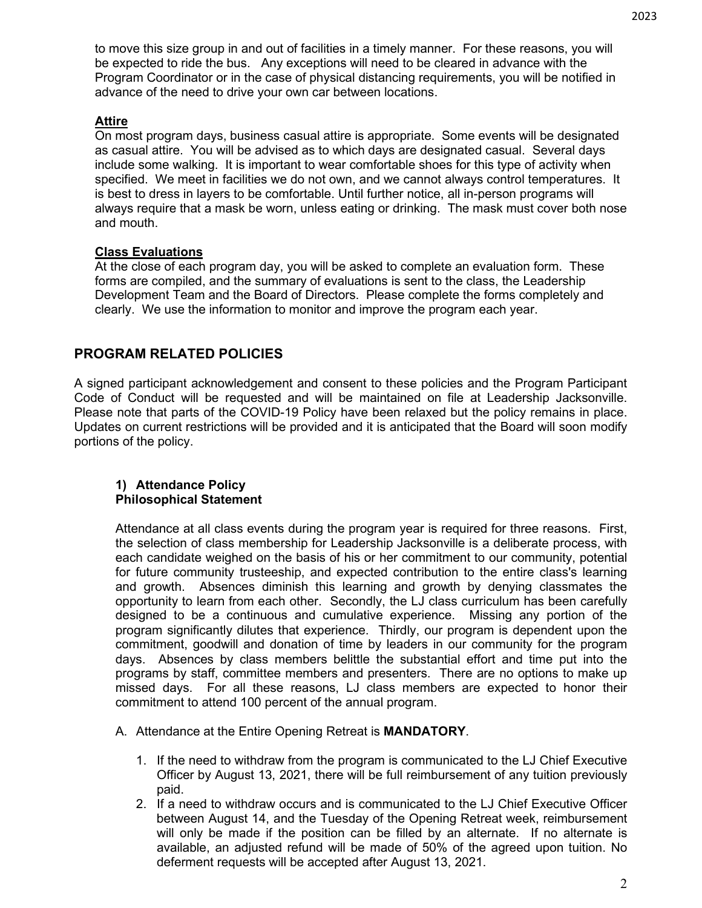to move this size group in and out of facilities in a timely manner. For these reasons, you will be expected to ride the bus. Any exceptions will need to be cleared in advance with the Program Coordinator or in the case of physical distancing requirements, you will be notified in advance of the need to drive your own car between locations.

#### **Attire**

On most program days, business casual attire is appropriate. Some events will be designated as casual attire. You will be advised as to which days are designated casual. Several days include some walking. It is important to wear comfortable shoes for this type of activity when specified. We meet in facilities we do not own, and we cannot always control temperatures. It is best to dress in layers to be comfortable. Until further notice, all in-person programs will always require that a mask be worn, unless eating or drinking. The mask must cover both nose and mouth.

#### **Class Evaluations**

At the close of each program day, you will be asked to complete an evaluation form. These forms are compiled, and the summary of evaluations is sent to the class, the Leadership Development Team and the Board of Directors. Please complete the forms completely and clearly. We use the information to monitor and improve the program each year.

## **PROGRAM RELATED POLICIES**

A signed participant acknowledgement and consent to these policies and the Program Participant Code of Conduct will be requested and will be maintained on file at Leadership Jacksonville. Please note that parts of the COVID-19 Policy have been relaxed but the policy remains in place. Updates on current restrictions will be provided and it is anticipated that the Board will soon modify portions of the policy.

#### **1) Attendance Policy Philosophical Statement**

Attendance at all class events during the program year is required for three reasons. First, the selection of class membership for Leadership Jacksonville is a deliberate process, with each candidate weighed on the basis of his or her commitment to our community, potential for future community trusteeship, and expected contribution to the entire class's learning and growth. Absences diminish this learning and growth by denying classmates the opportunity to learn from each other. Secondly, the LJ class curriculum has been carefully designed to be a continuous and cumulative experience. Missing any portion of the program significantly dilutes that experience. Thirdly, our program is dependent upon the commitment, goodwill and donation of time by leaders in our community for the program days. Absences by class members belittle the substantial effort and time put into the programs by staff, committee members and presenters. There are no options to make up missed days. For all these reasons, LJ class members are expected to honor their commitment to attend 100 percent of the annual program.

A. Attendance at the Entire Opening Retreat is **MANDATORY**.

- 1. If the need to withdraw from the program is communicated to the LJ Chief Executive Officer by August 13, 2021, there will be full reimbursement of any tuition previously paid.
- 2. If a need to withdraw occurs and is communicated to the LJ Chief Executive Officer between August 14, and the Tuesday of the Opening Retreat week, reimbursement will only be made if the position can be filled by an alternate. If no alternate is available, an adjusted refund will be made of 50% of the agreed upon tuition. No deferment requests will be accepted after August 13, 2021.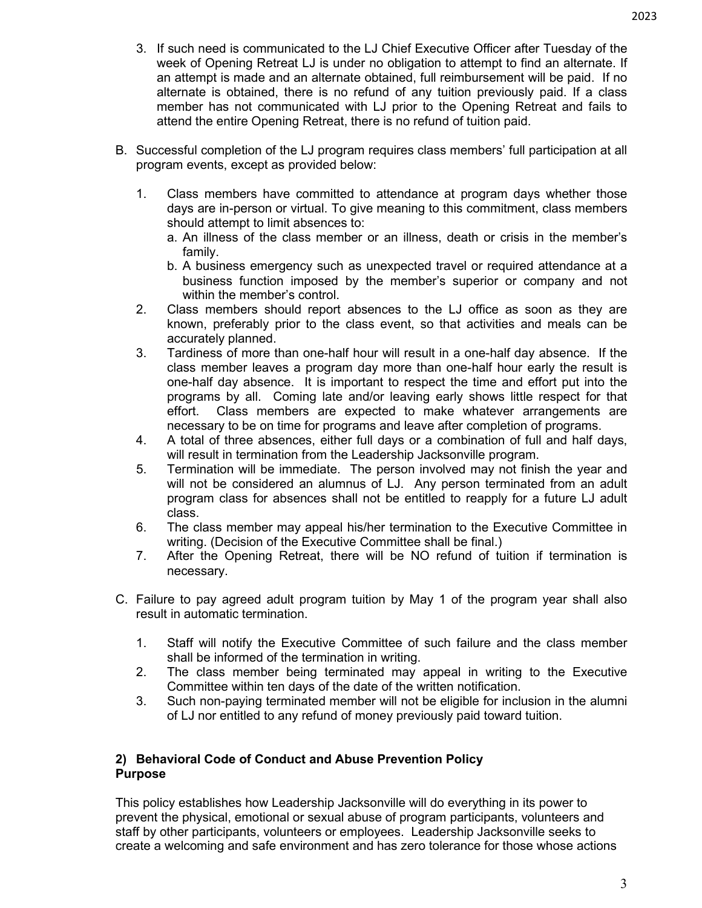- 3. If such need is communicated to the LJ Chief Executive Officer after Tuesday of the week of Opening Retreat LJ is under no obligation to attempt to find an alternate. If an attempt is made and an alternate obtained, full reimbursement will be paid. If no alternate is obtained, there is no refund of any tuition previously paid. If a class member has not communicated with LJ prior to the Opening Retreat and fails to attend the entire Opening Retreat, there is no refund of tuition paid.
- B. Successful completion of the LJ program requires class members' full participation at all program events, except as provided below:
	- 1. Class members have committed to attendance at program days whether those days are in-person or virtual. To give meaning to this commitment, class members should attempt to limit absences to:
		- a. An illness of the class member or an illness, death or crisis in the member's family.
		- b. A business emergency such as unexpected travel or required attendance at a business function imposed by the member's superior or company and not within the member's control.
	- 2. Class members should report absences to the LJ office as soon as they are known, preferably prior to the class event, so that activities and meals can be accurately planned.
	- 3. Tardiness of more than one-half hour will result in a one-half day absence. If the class member leaves a program day more than one-half hour early the result is one-half day absence. It is important to respect the time and effort put into the programs by all. Coming late and/or leaving early shows little respect for that effort. Class members are expected to make whatever arrangements are necessary to be on time for programs and leave after completion of programs.
	- 4. A total of three absences, either full days or a combination of full and half days, will result in termination from the Leadership Jacksonville program.
	- 5. Termination will be immediate. The person involved may not finish the year and will not be considered an alumnus of LJ. Any person terminated from an adult program class for absences shall not be entitled to reapply for a future LJ adult class.
	- 6. The class member may appeal his/her termination to the Executive Committee in writing. (Decision of the Executive Committee shall be final.)
	- 7. After the Opening Retreat, there will be NO refund of tuition if termination is necessary.
- C. Failure to pay agreed adult program tuition by May 1 of the program year shall also result in automatic termination.
	- 1. Staff will notify the Executive Committee of such failure and the class member shall be informed of the termination in writing.
	- 2. The class member being terminated may appeal in writing to the Executive Committee within ten days of the date of the written notification.
	- 3. Such non-paying terminated member will not be eligible for inclusion in the alumni of LJ nor entitled to any refund of money previously paid toward tuition.

#### **2) Behavioral Code of Conduct and Abuse Prevention Policy Purpose**

This policy establishes how Leadership Jacksonville will do everything in its power to prevent the physical, emotional or sexual abuse of program participants, volunteers and staff by other participants, volunteers or employees. Leadership Jacksonville seeks to create a welcoming and safe environment and has zero tolerance for those whose actions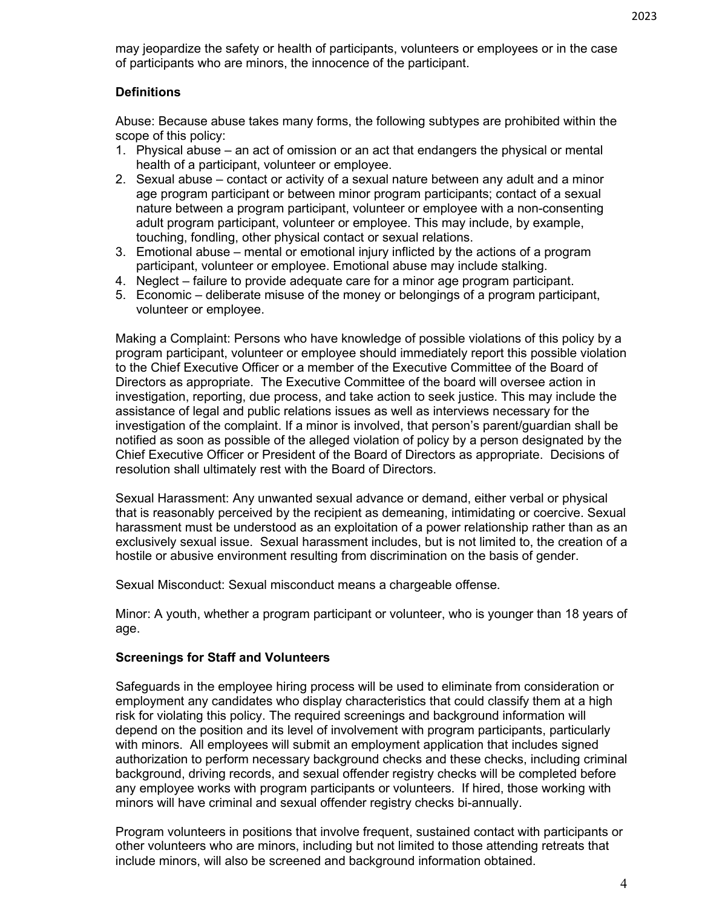may jeopardize the safety or health of participants, volunteers or employees or in the case of participants who are minors, the innocence of the participant.

#### **Definitions**

Abuse: Because abuse takes many forms, the following subtypes are prohibited within the scope of this policy:

- 1. Physical abuse an act of omission or an act that endangers the physical or mental health of a participant, volunteer or employee.
- 2. Sexual abuse contact or activity of a sexual nature between any adult and a minor age program participant or between minor program participants; contact of a sexual nature between a program participant, volunteer or employee with a non-consenting adult program participant, volunteer or employee. This may include, by example, touching, fondling, other physical contact or sexual relations.
- 3. Emotional abuse mental or emotional injury inflicted by the actions of a program participant, volunteer or employee. Emotional abuse may include stalking.
- 4. Neglect failure to provide adequate care for a minor age program participant.
- 5. Economic deliberate misuse of the money or belongings of a program participant, volunteer or employee.

Making a Complaint: Persons who have knowledge of possible violations of this policy by a program participant, volunteer or employee should immediately report this possible violation to the Chief Executive Officer or a member of the Executive Committee of the Board of Directors as appropriate. The Executive Committee of the board will oversee action in investigation, reporting, due process, and take action to seek justice. This may include the assistance of legal and public relations issues as well as interviews necessary for the investigation of the complaint. If a minor is involved, that person's parent/guardian shall be notified as soon as possible of the alleged violation of policy by a person designated by the Chief Executive Officer or President of the Board of Directors as appropriate. Decisions of resolution shall ultimately rest with the Board of Directors.

Sexual Harassment: Any unwanted sexual advance or demand, either verbal or physical that is reasonably perceived by the recipient as demeaning, intimidating or coercive. Sexual harassment must be understood as an exploitation of a power relationship rather than as an exclusively sexual issue. Sexual harassment includes, but is not limited to, the creation of a hostile or abusive environment resulting from discrimination on the basis of gender.

Sexual Misconduct: Sexual misconduct means a chargeable offense.

Minor: A youth, whether a program participant or volunteer, who is younger than 18 years of age.

#### **Screenings for Staff and Volunteers**

Safeguards in the employee hiring process will be used to eliminate from consideration or employment any candidates who display characteristics that could classify them at a high risk for violating this policy. The required screenings and background information will depend on the position and its level of involvement with program participants, particularly with minors. All employees will submit an employment application that includes signed authorization to perform necessary background checks and these checks, including criminal background, driving records, and sexual offender registry checks will be completed before any employee works with program participants or volunteers. If hired, those working with minors will have criminal and sexual offender registry checks bi-annually.

Program volunteers in positions that involve frequent, sustained contact with participants or other volunteers who are minors, including but not limited to those attending retreats that include minors, will also be screened and background information obtained.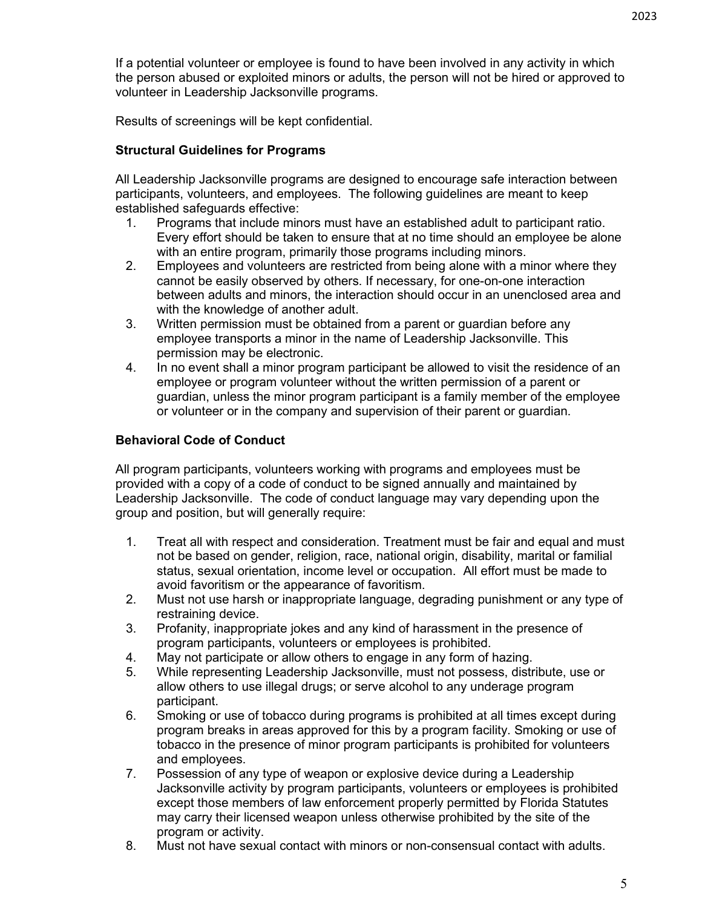If a potential volunteer or employee is found to have been involved in any activity in which the person abused or exploited minors or adults, the person will not be hired or approved to volunteer in Leadership Jacksonville programs.

Results of screenings will be kept confidential.

### **Structural Guidelines for Programs**

All Leadership Jacksonville programs are designed to encourage safe interaction between participants, volunteers, and employees. The following guidelines are meant to keep established safeguards effective:

- 1. Programs that include minors must have an established adult to participant ratio. Every effort should be taken to ensure that at no time should an employee be alone with an entire program, primarily those programs including minors.
- 2. Employees and volunteers are restricted from being alone with a minor where they cannot be easily observed by others. If necessary, for one-on-one interaction between adults and minors, the interaction should occur in an unenclosed area and with the knowledge of another adult.
- 3. Written permission must be obtained from a parent or guardian before any employee transports a minor in the name of Leadership Jacksonville. This permission may be electronic.
- 4. In no event shall a minor program participant be allowed to visit the residence of an employee or program volunteer without the written permission of a parent or guardian, unless the minor program participant is a family member of the employee or volunteer or in the company and supervision of their parent or guardian.

#### **Behavioral Code of Conduct**

All program participants, volunteers working with programs and employees must be provided with a copy of a code of conduct to be signed annually and maintained by Leadership Jacksonville. The code of conduct language may vary depending upon the group and position, but will generally require:

- 1. Treat all with respect and consideration. Treatment must be fair and equal and must not be based on gender, religion, race, national origin, disability, marital or familial status, sexual orientation, income level or occupation. All effort must be made to avoid favoritism or the appearance of favoritism.
- 2. Must not use harsh or inappropriate language, degrading punishment or any type of restraining device.
- 3. Profanity, inappropriate jokes and any kind of harassment in the presence of program participants, volunteers or employees is prohibited.
- 4. May not participate or allow others to engage in any form of hazing.
- 5. While representing Leadership Jacksonville, must not possess, distribute, use or allow others to use illegal drugs; or serve alcohol to any underage program participant.
- 6. Smoking or use of tobacco during programs is prohibited at all times except during program breaks in areas approved for this by a program facility. Smoking or use of tobacco in the presence of minor program participants is prohibited for volunteers and employees.
- 7. Possession of any type of weapon or explosive device during a Leadership Jacksonville activity by program participants, volunteers or employees is prohibited except those members of law enforcement properly permitted by Florida Statutes may carry their licensed weapon unless otherwise prohibited by the site of the program or activity.
- 8. Must not have sexual contact with minors or non-consensual contact with adults.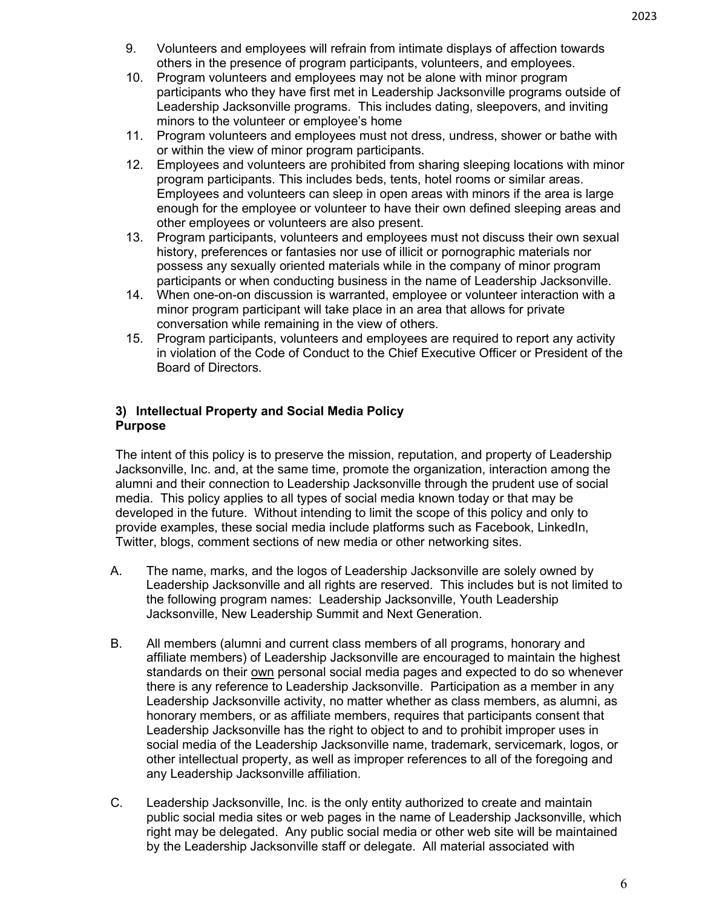- 9. Volunteers and employees will refrain from intimate displays of affection towards others in the presence of program participants, volunteers, and employees.
- 10. Program volunteers and employees may not be alone with minor program participants who they have first met in Leadership Jacksonville programs outside of Leadership Jacksonville programs. This includes dating, sleepovers, and inviting minors to the volunteer or employee's home
- 11. Program volunteers and employees must not dress, undress, shower or bathe with or within the view of minor program participants.
- 12. Employees and volunteers are prohibited from sharing sleeping locations with minor program participants. This includes beds, tents, hotel rooms or similar areas. Employees and volunteers can sleep in open areas with minors if the area is large enough for the employee or volunteer to have their own defined sleeping areas and other employees or volunteers are also present.
- 13. Program participants, volunteers and employees must not discuss their own sexual history, preferences or fantasies nor use of illicit or pornographic materials nor possess any sexually oriented materials while in the company of minor program participants or when conducting business in the name of Leadership Jacksonville.
- 14. When one-on-on discussion is warranted, employee or volunteer interaction with a minor program participant will take place in an area that allows for private conversation while remaining in the view of others.
- 15. Program participants, volunteers and employees are required to report any activity in violation of the Code of Conduct to the Chief Executive Officer or President of the Board of Directors.

#### **3) Intellectual Property and Social Media Policy Purpose**

The intent of this policy is to preserve the mission, reputation, and property of Leadership Jacksonville, Inc. and, at the same time, promote the organization, interaction among the alumni and their connection to Leadership Jacksonville through the prudent use of social media. This policy applies to all types of social media known today or that may be developed in the future. Without intending to limit the scope of this policy and only to provide examples, these social media include platforms such as Facebook, LinkedIn, Twitter, blogs, comment sections of new media or other networking sites.

- A. The name, marks, and the logos of Leadership Jacksonville are solely owned by Leadership Jacksonville and all rights are reserved. This includes but is not limited to the following program names: Leadership Jacksonville, Youth Leadership Jacksonville, New Leadership Summit and Next Generation.
- B. All members (alumni and current class members of all programs, honorary and affiliate members) of Leadership Jacksonville are encouraged to maintain the highest standards on their own personal social media pages and expected to do so whenever there is any reference to Leadership Jacksonville. Participation as a member in any Leadership Jacksonville activity, no matter whether as class members, as alumni, as honorary members, or as affiliate members, requires that participants consent that Leadership Jacksonville has the right to object to and to prohibit improper uses in social media of the Leadership Jacksonville name, trademark, servicemark, logos, or other intellectual property, as well as improper references to all of the foregoing and any Leadership Jacksonville affiliation.
- C. Leadership Jacksonville, Inc. is the only entity authorized to create and maintain public social media sites or web pages in the name of Leadership Jacksonville, which right may be delegated. Any public social media or other web site will be maintained by the Leadership Jacksonville staff or delegate. All material associated with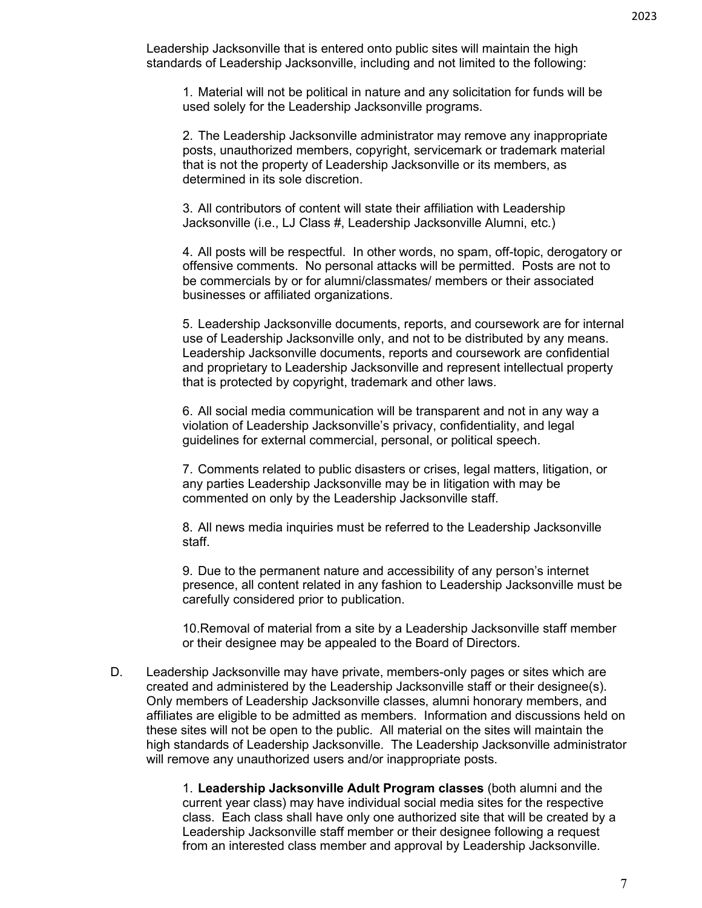Leadership Jacksonville that is entered onto public sites will maintain the high standards of Leadership Jacksonville, including and not limited to the following:

1. Material will not be political in nature and any solicitation for funds will be used solely for the Leadership Jacksonville programs.

2. The Leadership Jacksonville administrator may remove any inappropriate posts, unauthorized members, copyright, servicemark or trademark material that is not the property of Leadership Jacksonville or its members, as determined in its sole discretion.

3. All contributors of content will state their affiliation with Leadership Jacksonville (i.e., LJ Class #, Leadership Jacksonville Alumni, etc.)

4. All posts will be respectful. In other words, no spam, off-topic, derogatory or offensive comments. No personal attacks will be permitted. Posts are not to be commercials by or for alumni/classmates/ members or their associated businesses or affiliated organizations.

5. Leadership Jacksonville documents, reports, and coursework are for internal use of Leadership Jacksonville only, and not to be distributed by any means. Leadership Jacksonville documents, reports and coursework are confidential and proprietary to Leadership Jacksonville and represent intellectual property that is protected by copyright, trademark and other laws.

6. All social media communication will be transparent and not in any way a violation of Leadership Jacksonville's privacy, confidentiality, and legal guidelines for external commercial, personal, or political speech.

7. Comments related to public disasters or crises, legal matters, litigation, or any parties Leadership Jacksonville may be in litigation with may be commented on only by the Leadership Jacksonville staff.

8. All news media inquiries must be referred to the Leadership Jacksonville staff.

9. Due to the permanent nature and accessibility of any person's internet presence, all content related in any fashion to Leadership Jacksonville must be carefully considered prior to publication.

10.Removal of material from a site by a Leadership Jacksonville staff member or their designee may be appealed to the Board of Directors.

D. Leadership Jacksonville may have private, members-only pages or sites which are created and administered by the Leadership Jacksonville staff or their designee(s). Only members of Leadership Jacksonville classes, alumni honorary members, and affiliates are eligible to be admitted as members. Information and discussions held on these sites will not be open to the public. All material on the sites will maintain the high standards of Leadership Jacksonville. The Leadership Jacksonville administrator will remove any unauthorized users and/or inappropriate posts.

> 1. **Leadership Jacksonville Adult Program classes** (both alumni and the current year class) may have individual social media sites for the respective class. Each class shall have only one authorized site that will be created by a Leadership Jacksonville staff member or their designee following a request from an interested class member and approval by Leadership Jacksonville.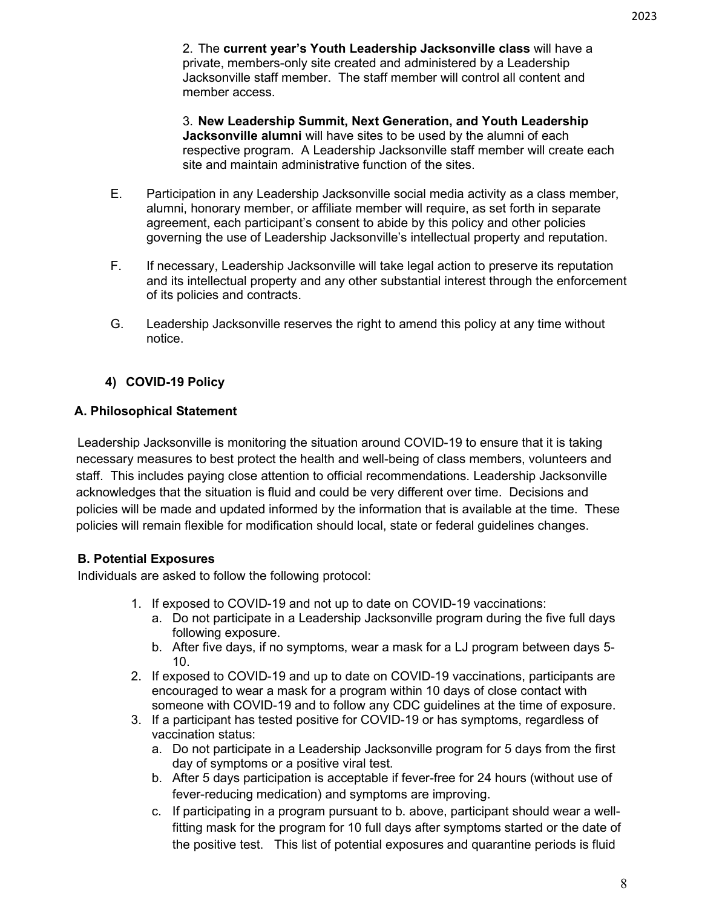2. The **current year's Youth Leadership Jacksonville class** will have a private, members-only site created and administered by a Leadership Jacksonville staff member. The staff member will control all content and member access.

3. **New Leadership Summit, Next Generation, and Youth Leadership Jacksonville alumni** will have sites to be used by the alumni of each respective program. A Leadership Jacksonville staff member will create each site and maintain administrative function of the sites.

- E. Participation in any Leadership Jacksonville social media activity as a class member, alumni, honorary member, or affiliate member will require, as set forth in separate agreement, each participant's consent to abide by this policy and other policies governing the use of Leadership Jacksonville's intellectual property and reputation.
- F. If necessary, Leadership Jacksonville will take legal action to preserve its reputation and its intellectual property and any other substantial interest through the enforcement of its policies and contracts.
- G. Leadership Jacksonville reserves the right to amend this policy at any time without notice.

## **4) COVID-19 Policy**

## **A. Philosophical Statement**

Leadership Jacksonville is monitoring the situation around COVID-19 to ensure that it is taking necessary measures to best protect the health and well-being of class members, volunteers and staff. This includes paying close attention to official recommendations. Leadership Jacksonville acknowledges that the situation is fluid and could be very different over time. Decisions and policies will be made and updated informed by the information that is available at the time. These policies will remain flexible for modification should local, state or federal guidelines changes.

## **B. Potential Exposures**

Individuals are asked to follow the following protocol:

- 1. If exposed to COVID-19 and not up to date on COVID-19 vaccinations:
	- a. Do not participate in a Leadership Jacksonville program during the five full days following exposure.
	- b. After five days, if no symptoms, wear a mask for a LJ program between days 5- 10.
- 2. If exposed to COVID-19 and up to date on COVID-19 vaccinations, participants are encouraged to wear a mask for a program within 10 days of close contact with someone with COVID-19 and to follow any CDC guidelines at the time of exposure.
- 3. If a participant has tested positive for COVID-19 or has symptoms, regardless of vaccination status:
	- a. Do not participate in a Leadership Jacksonville program for 5 days from the first day of symptoms or a positive viral test.
	- b. After 5 days participation is acceptable if fever-free for 24 hours (without use of fever-reducing medication) and symptoms are improving.
	- c. If participating in a program pursuant to b. above, participant should wear a wellfitting mask for the program for 10 full days after symptoms started or the date of the positive test. This list of potential exposures and quarantine periods is fluid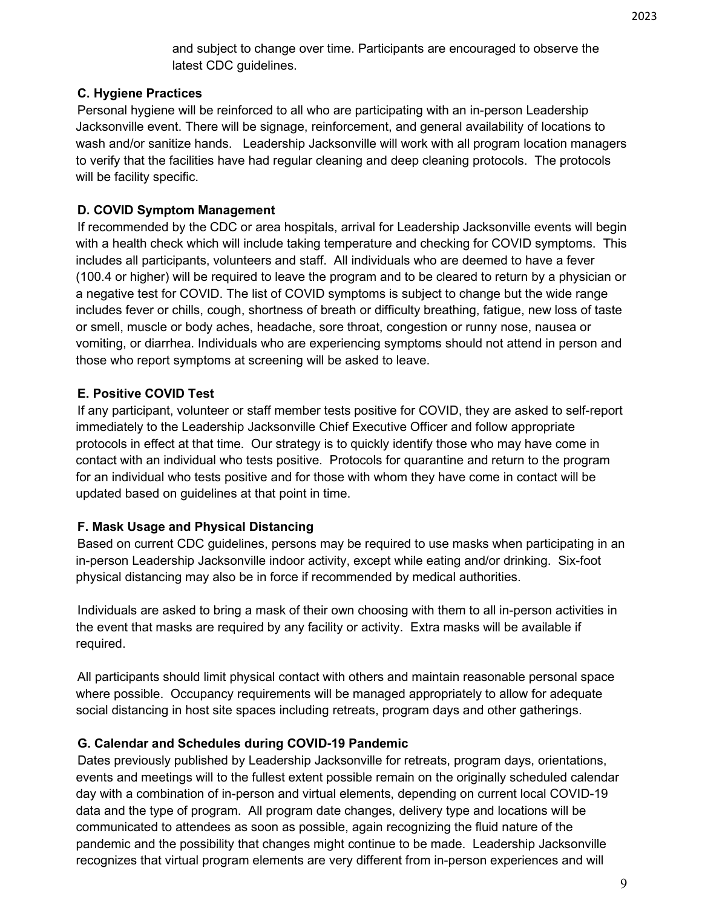and subject to change over time. Participants are encouraged to observe the latest CDC guidelines.

### **C. Hygiene Practices**

Personal hygiene will be reinforced to all who are participating with an in-person Leadership Jacksonville event. There will be signage, reinforcement, and general availability of locations to wash and/or sanitize hands. Leadership Jacksonville will work with all program location managers to verify that the facilities have had regular cleaning and deep cleaning protocols. The protocols will be facility specific.

## **D. COVID Symptom Management**

If recommended by the CDC or area hospitals, arrival for Leadership Jacksonville events will begin with a health check which will include taking temperature and checking for COVID symptoms. This includes all participants, volunteers and staff. All individuals who are deemed to have a fever (100.4 or higher) will be required to leave the program and to be cleared to return by a physician or a negative test for COVID. The list of COVID symptoms is subject to change but the wide range includes fever or chills, cough, shortness of breath or difficulty breathing, fatigue, new loss of taste or smell, muscle or body aches, headache, sore throat, congestion or runny nose, nausea or vomiting, or diarrhea. Individuals who are experiencing symptoms should not attend in person and those who report symptoms at screening will be asked to leave.

#### **E. Positive COVID Test**

If any participant, volunteer or staff member tests positive for COVID, they are asked to self-report immediately to the Leadership Jacksonville Chief Executive Officer and follow appropriate protocols in effect at that time. Our strategy is to quickly identify those who may have come in contact with an individual who tests positive. Protocols for quarantine and return to the program for an individual who tests positive and for those with whom they have come in contact will be updated based on guidelines at that point in time.

#### **F. Mask Usage and Physical Distancing**

Based on current CDC guidelines, persons may be required to use masks when participating in an in-person Leadership Jacksonville indoor activity, except while eating and/or drinking. Six-foot physical distancing may also be in force if recommended by medical authorities.

Individuals are asked to bring a mask of their own choosing with them to all in-person activities in the event that masks are required by any facility or activity. Extra masks will be available if required.

All participants should limit physical contact with others and maintain reasonable personal space where possible. Occupancy requirements will be managed appropriately to allow for adequate social distancing in host site spaces including retreats, program days and other gatherings.

#### **G. Calendar and Schedules during COVID-19 Pandemic**

Dates previously published by Leadership Jacksonville for retreats, program days, orientations, events and meetings will to the fullest extent possible remain on the originally scheduled calendar day with a combination of in-person and virtual elements, depending on current local COVID-19 data and the type of program. All program date changes, delivery type and locations will be communicated to attendees as soon as possible, again recognizing the fluid nature of the pandemic and the possibility that changes might continue to be made. Leadership Jacksonville recognizes that virtual program elements are very different from in-person experiences and will